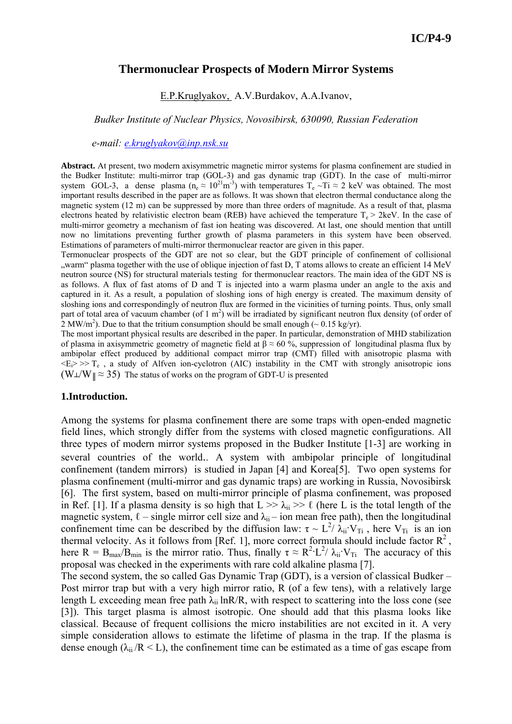# **Thermonuclear Prospects of Modern Mirror Systems**

E.P.Kruglyakov, A.V.Burdakov, A.A.Ivanov,

*Budker Institute of Nuclear Physics, Novosibirsk, 630090, Russian Federation* 

 *e-mail: e.kruglyakov@inp.nsk.su*

**Abstract.** At present, two modern axisymmetric magnetic mirror systems for plasma confinement are studied in the Budker Institute: multi-mirror trap (GOL-3) and gas dynamic trap (GDT). In the case of multi-mirror system GOL-3, a dense plasma ( $n_e \approx 10^{21} \text{m}^{-3}$ ) with temperatures  $T_e \sim T_i \approx 2$  keV was obtained. The most important results described in the paper are as follows. It was shown that electron thermal conductance along the magnetic system (12 m) can be suppressed by more than three orders of magnitude. As a result of that, plasma electrons heated by relativistic electron beam (REB) have achieved the temperature  $T_e > 2$ keV. In the case of multi-mirror geometry a mechanism of fast ion heating was discovered. At last, one should mention that untill now no limitations preventing further growth of plasma parameters in this system have been observed. Estimations of parameters of multi-mirror thermonuclear reactor are given in this paper.

Termonuclear prospects of the GDT are not so clear, but the GDT principle of confinement of collisional "warm" plasma together with the use of oblique injection of fast D, T atoms allows to create an efficient 14 MeV neutron source (NS) for structural materials testing for thermonuclear reactors. The main idea of the GDT NS is as follows. A flux of fast atoms of D and T is injected into a warm plasma under an angle to the axis and captured in it. As a result, a population of sloshing ions of high energy is created. The maximum density of sloshing ions and correspondingly of neutron flux are formed in the vicinities of turning points. Thus, only small part of total area of vacuum chamber (of 1  $m<sup>2</sup>$ ) will be irradiated by significant neutron flux density (of order of 2 MW/m<sup>2</sup>). Due to that the tritium consumption should be small enough ( $\sim 0.15$  kg/yr).

The most important physical results are described in the paper. In particular, demonstration of MHD stabilization of plasma in axisymmetric geometry of magnetic field at  $\beta \approx 60 \degree$ , suppression of longitudinal plasma flux by ambipolar effect produced by additional compact mirror trap (CMT) filled with anisotropic plasma with  $\langle E_i \rangle \gg T_e$ , a study of Alfven ion-cyclotron (AIC) instability in the CMT with strongly anisotropic ions  $(W \perp W \parallel \approx 35)$  The status of works on the program of GDT-U is presented

#### **1.Introduction.**

Among the systems for plasma confinement there are some traps with open-ended magnetic field lines, which strongly differ from the systems with closed magnetic configurations. All three types of modern mirror systems proposed in the Budker Institute [1-3] are working in several countries of the world.. A system with ambipolar principle of longitudinal confinement (tandem mirrors) is studied in Japan [4] and Korea[5]. Two open systems for plasma confinement (multi-mirror and gas dynamic traps) are working in Russia, Novosibirsk [6]. The first system, based on multi-mirror principle of plasma confinement, was proposed in Ref. [1]. If a plasma density is so high that  $L \gg \lambda_{ii} \gg \ell$  (here L is the total length of the magnetic system,  $\ell$  – single mirror cell size and  $\lambda_{ii}$  – ion mean free path), then the longitudinal confinement time can be described by the diffusion law:  $\tau \sim L^2/\lambda_{ii}$   $V_{Ti}$ , here  $V_{Ti}$  is an ion thermal velocity. As it follows from [Ref. 1], more correct formula should include factor  $R^2$ , here  $R = B_{\text{max}}/B_{\text{min}}$  is the mirror ratio. Thus, finally  $\tau \approx R^2 \cdot L^2 / \lambda_{\text{ii}} \cdot V_{\text{Ti}}$  The accuracy of this proposal was checked in the experiments with rare cold alkaline plasma [7].

The second system, the so called Gas Dynamic Trap (GDT), is a version of classical Budker – Post mirror trap but with a very high mirror ratio, R (of a few tens), with a relatively large length L exceeding mean free path  $\lambda_{ii}$  lnR/R, with respect to scattering into the loss cone (see [3]). This target plasma is almost isotropic. One should add that this plasma looks like classical. Because of frequent collisions the micro instabilities are not excited in it. A very simple consideration allows to estimate the lifetime of plasma in the trap. If the plasma is dense enough ( $\lambda_{ii}/R < L$ ), the confinement time can be estimated as a time of gas escape from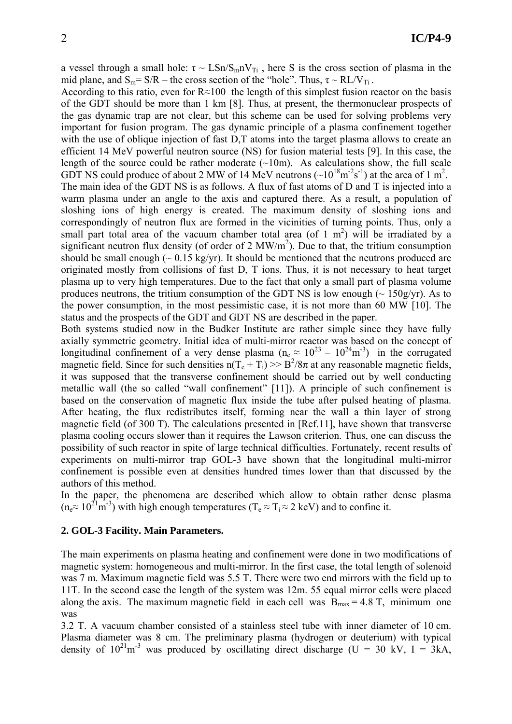a vessel through a small hole:  $\tau \sim \text{LSn/S}_m V_{Ti}$ , here S is the cross section of plasma in the mid plane, and  $S_m = S/R$  – the cross section of the "hole". Thus,  $\tau \sim R L/V_{Ti}$ .

According to this ratio, even for R≈100 the length of this simplest fusion reactor on the basis of the GDT should be more than 1 km [8]. Thus, at present, the thermonuclear prospects of the gas dynamic trap are not clear, but this scheme can be used for solving problems very important for fusion program. The gas dynamic principle of a plasma confinement together with the use of oblique injection of fast D,T atoms into the target plasma allows to create an efficient 14 MeV powerful neutron source (NS) for fusion material tests [9]. In this case, the length of the source could be rather moderate  $(\sim 10 \text{m})$ . As calculations show, the full scale GDT NS could produce of about 2 MW of 14 MeV neutrons ( $\sim 10^{18} \text{m}^2 \text{s}^{-1}$ ) at the area of 1 m<sup>2</sup>.

The main idea of the GDT NS is as follows. A flux of fast atoms of D and T is injected into a warm plasma under an angle to the axis and captured there. As a result, a population of sloshing ions of high energy is created. The maximum density of sloshing ions and correspondingly of neutron flux are formed in the vicinities of turning points. Thus, only a small part total area of the vacuum chamber total area (of 1  $m<sup>2</sup>$ ) will be irradiated by a significant neutron flux density (of order of 2  $MW/m<sup>2</sup>$ ). Due to that, the tritium consumption should be small enough  $\sim 0.15$  kg/yr). It should be mentioned that the neutrons produced are originated mostly from collisions of fast D, T ions. Thus, it is not necessary to heat target plasma up to very high temperatures. Due to the fact that only a small part of plasma volume produces neutrons, the tritium consumption of the GDT NS is low enough  $\sim 150$ g/yr). As to the power consumption, in the most pessimistic case, it is not more than 60 MW [10]. The status and the prospects of the GDT and GDT NS are described in the paper.

Both systems studied now in the Budker Institute are rather simple since they have fully axially symmetric geometry. Initial idea of multi-mirror reactor was based on the concept of longitudinal confinement of a very dense plasma  $(n_e \approx 10^{23} - 10^{24} m^{-3})$  in the corrugated magnetic field. Since for such densities  $n(T_e + T_i) \gg B^2/8\pi$  at any reasonable magnetic fields, it was supposed that the transverse confinement should be carried out by well conducting metallic wall (the so called "wall confinement" [11]). A principle of such confinement is based on the conservation of magnetic flux inside the tube after pulsed heating of plasma. After heating, the flux redistributes itself, forming near the wall a thin layer of strong magnetic field (of 300 T). The calculations presented in [Ref.11], have shown that transverse plasma cooling occurs slower than it requires the Lawson criterion. Thus, one can discuss the possibility of such reactor in spite of large technical difficulties. Fortunately, recent results of experiments on multi-mirror trap GOL-3 have shown that the longitudinal multi-mirror confinement is possible even at densities hundred times lower than that discussed by the authors of this method.

In the paper, the phenomena are described which allow to obtain rather dense plasma  $(n_e \approx 10^{21} \text{m}^{-3})$  with high enough temperatures  $(T_e \approx T_i \approx 2 \text{ keV})$  and to confine it.

#### **2. GOL-3 Facility. Main Parameters.**

The main experiments on plasma heating and confinement were done in two modifications of magnetic system: homogeneous and multi-mirror. In the first case, the total length of solenoid was 7 m. Maximum magnetic field was 5.5 T. There were two end mirrors with the field up to 11T. In the second case the length of the system was 12m. 55 equal mirror cells were placed along the axis. The maximum magnetic field in each cell was  $B_{\text{max}} = 4.8$  T, minimum one was

3.2 T. A vacuum chamber consisted of a stainless steel tube with inner diameter of 10 cm. Plasma diameter was 8 cm. The preliminary plasma (hydrogen or deuterium) with typical density of  $10^{21}$ m<sup>-3</sup> was produced by oscillating direct discharge (U = 30 kV, I = 3kA,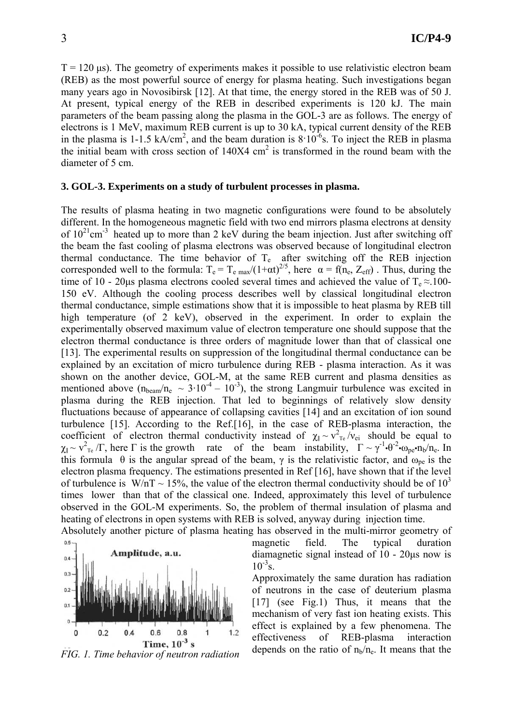$T = 120 \,\mu s$ ). The geometry of experiments makes it possible to use relativistic electron beam (REB) as the most powerful source of energy for plasma heating. Such investigations began many years ago in Novosibirsk [12]. At that time, the energy stored in the REB was of 50 J. At present, typical energy of the REB in described experiments is 120 kJ. The main parameters of the beam passing along the plasma in the GOL-3 are as follows. The energy of electrons is 1 MeV, maximum REB current is up to 30 kA, typical current density of the REB in the plasma is 1-1.5 kA/cm<sup>2</sup>, and the beam duration is  $8.10^{-6}$ s. To inject the REB in plasma the initial beam with cross section of  $140X4 \text{ cm}^2$  is transformed in the round beam with the diameter of 5 cm.

### **3. GOL-3. Experiments on a study of turbulent processes in plasma.**

The results of plasma heating in two magnetic configurations were found to be absolutely different. In the homogeneous magnetic field with two end mirrors plasma electrons at density of  $10^{21}$ cm<sup>-3</sup> heated up to more than 2 keV during the beam injection. Just after switching off the beam the fast cooling of plasma electrons was observed because of longitudinal electron thermal conductance. The time behavior of  $T_e$  after switching off the REB injection corresponded well to the formula:  $T_e = T_{e \text{ max}}/(1+\alpha t)^{2/5}$ , here  $\alpha = f(n_e, Z_{eff})$ . Thus, during the time of 10 - 20us plasma electrons cooled several times and achieved the value of  $T_e \approx 100$ -150 eV. Although the cooling process describes well by classical longitudinal electron thermal conductance, simple estimations show that it is impossible to heat plasma by REB till high temperature (of 2 keV), observed in the experiment. In order to explain the experimentally observed maximum value of electron temperature one should suppose that the electron thermal conductance is three orders of magnitude lower than that of classical one [13]. The experimental results on suppression of the longitudinal thermal conductance can be explained by an excitation of micro turbulence during REB - plasma interaction. As it was shown on the another device, GOL-M, at the same REB current and plasma densities as mentioned above  $(n_{\text{beam}}/n_{\text{e}} \sim 3.10^{-4} - 10^{-3})$ , the strong Langmuir turbulence was excited in plasma during the REB injection. That led to beginnings of relatively slow density fluctuations because of appearance of collapsing cavities [14] and an excitation of ion sound turbulence [15]. According to the Ref.[16], in the case of REB-plasma interaction, the coefficient of electron thermal conductivity instead of  $\chi_{\parallel} \sim v_{\text{Te}}^2/v_{\text{ei}}$  should be equal to  $\chi_{\parallel} \sim v_{\rm Te}^2/\Gamma$ , here  $\Gamma$  is the growth rate of the beam instability,  $\Gamma \sim \gamma^{-1} \cdot \theta^{-2} \cdot \omega_{\rm pe} \cdot \eta_{\rm b}/n_{\rm e}$ . In this formula  $\theta$  is the angular spread of the beam,  $\gamma$  is the relativistic factor, and  $\omega_{\text{ne}}$  is the electron plasma frequency. The estimations presented in Ref [16], have shown that if the level of turbulence is W/nT  $\sim$  15%, the value of the electron thermal conductivity should be of 10<sup>3</sup> times lower than that of the classical one. Indeed, approximately this level of turbulence observed in the GOL-M experiments. So, the problem of thermal insulation of plasma and heating of electrons in open systems with REB is solved, anyway during injection time. Absolutely another picture of plasma heating has observed in the multi-mirror geometry of



magnetic field. The typical duration diamagnetic signal instead of 10 - 20µs now is  $10^{-3}$ s.

Approximately the same duration has radiation of neutrons in the case of deuterium plasma [17] (see Fig.1) Thus, it means that the mechanism of very fast ion heating exists. This effect is explained by a few phenomena. The effectiveness of REB-plasma interaction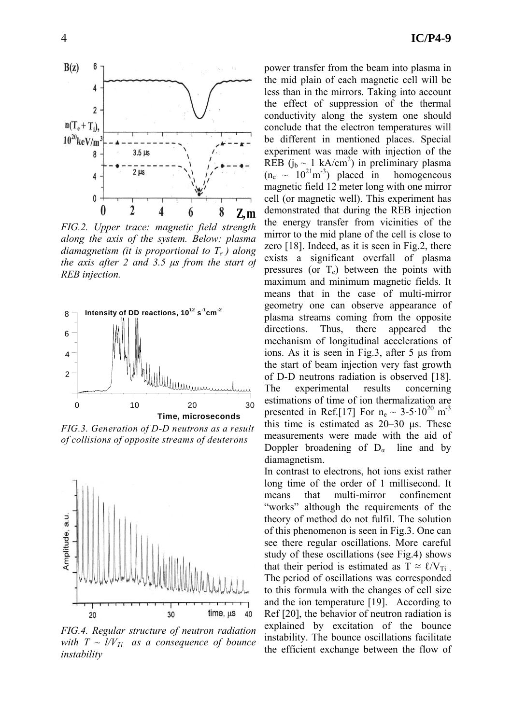

*FIG.2. Upper trace: magnetic field strength along the axis of the system. Below: plasma diamagnetism (it is proportional to Te ) along the axis after 2 and 3.5 µs from the start of REB injection.*



*FIG.3. Generation of D-D neutrons as a result of collisions of opposite streams of deuterons*



*FIG.4. Regular structure of neutron radiation with*  $T \sim l/V_{Ti}$  *as a consequence of bounce instability*

4 **IC/P4-9**

power transfer from the beam into plasma in the mid plain of each magnetic cell will be less than in the mirrors. Taking into account the effect of suppression of the thermal conductivity along the system one should conclude that the electron temperatures will be different in mentioned places. Special experiment was made with injection of the REB  $(j_b \sim 1 \text{ kA/cm}^2)$  in preliminary plasma  $(n_e \sim 10^{21} \text{m}^{-3})$  placed in homogeneous magnetic field 12 meter long with one mirror cell (or magnetic well). This experiment has demonstrated that during the REB injection the energy transfer from vicinities of the mirror to the mid plane of the cell is close to zero [18]. Indeed, as it is seen in Fig.2, there exists a significant overfall of plasma pressures (or  $T_e$ ) between the points with maximum and minimum magnetic fields. It means that in the case of multi-mirror geometry one can observe appearance of plasma streams coming from the opposite directions. Thus, there appeared the mechanism of longitudinal accelerations of ions. As it is seen in Fig.3, after 5 µs from the start of beam injection very fast growth of D-D neutrons radiation is observed [18]. The experimental results concerning estimations of time of ion thermalization are presented in Ref.[17] For  $n_e \sim 3-5.10^{20}$  m<sup>-3</sup> this time is estimated as 20–30 µs. These measurements were made with the aid of Doppler broadening of  $D_{\alpha}$  line and by diamagnetism.

In contrast to electrons, hot ions exist rather long time of the order of 1 millisecond. It means that multi-mirror confinement "works" although the requirements of the theory of method do not fulfil. The solution of this phenomenon is seen in Fig.3. One can see there regular oscillations. More careful study of these oscillations (see Fig.4) shows that their period is estimated as  $T \approx \ell / V_{Ti}$ . The period of oscillations was corresponded to this formula with the changes of cell size and the ion temperature [19]. According to Ref [20], the behavior of neutron radiation is explained by excitation of the bounce instability. The bounce oscillations facilitate the efficient exchange between the flow of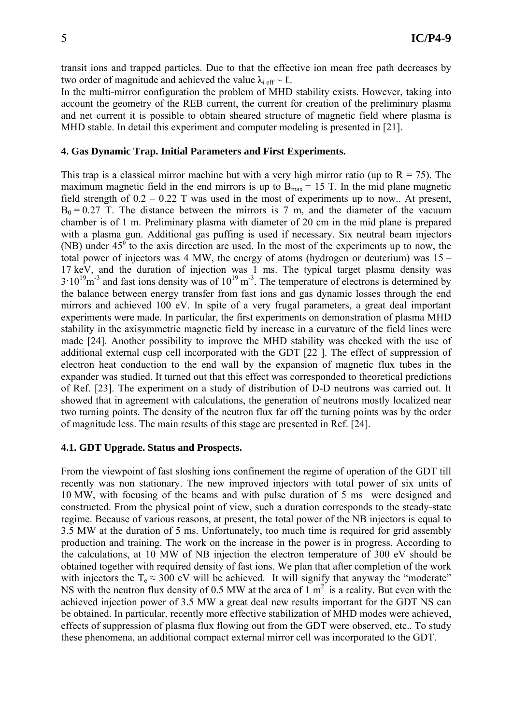transit ions and trapped particles. Due to that the effective ion mean free path decreases by two order of magnitude and achieved the value  $\lambda_i$  eff  $\sim \ell$ .

In the multi-mirror configuration the problem of MHD stability exists. However, taking into account the geometry of the REB current, the current for creation of the preliminary plasma and net current it is possible to obtain sheared structure of magnetic field where plasma is MHD stable. In detail this experiment and computer modeling is presented in [21].

## **4. Gas Dynamic Trap. Initial Parameters and First Experiments.**

This trap is a classical mirror machine but with a very high mirror ratio (up to  $R = 75$ ). The maximum magnetic field in the end mirrors is up to  $B_{\text{max}} = 15$  T. In the mid plane magnetic field strength of  $0.2 - 0.22$  T was used in the most of experiments up to now.. At present,  $B_0 = 0.27$  T. The distance between the mirrors is 7 m, and the diameter of the vacuum chamber is of 1 m. Preliminary plasma with diameter of 20 cm in the mid plane is prepared with a plasma gun. Additional gas puffing is used if necessary. Six neutral beam injectors (NB) under  $45^{\circ}$  to the axis direction are used. In the most of the experiments up to now, the total power of injectors was 4 MW, the energy of atoms (hydrogen or deuterium) was 15 – 17 keV, and the duration of injection was 1 ms. The typical target plasma density was  $3.10^{19}$ m<sup>-3</sup> and fast ions density was of  $10^{19}$  m<sup>-3</sup>. The temperature of electrons is determined by the balance between energy transfer from fast ions and gas dynamic losses through the end mirrors and achieved 100 eV. In spite of a very frugal parameters, a great deal important experiments were made. In particular, the first experiments on demonstration of plasma MHD stability in the axisymmetric magnetic field by increase in a curvature of the field lines were made [24]. Another possibility to improve the MHD stability was checked with the use of additional external cusp cell incorporated with the GDT [22 ]. The effect of suppression of electron heat conduction to the end wall by the expansion of magnetic flux tubes in the expander was studied. It turned out that this effect was corresponded to theoretical predictions of Ref. [23]. The experiment on a study of distribution of D-D neutrons was carried out. It showed that in agreement with calculations, the generation of neutrons mostly localized near two turning points. The density of the neutron flux far off the turning points was by the order of magnitude less. The main results of this stage are presented in Ref. [24].

## **4.1. GDT Upgrade. Status and Prospects.**

From the viewpoint of fast sloshing ions confinement the regime of operation of the GDT till recently was non stationary. The new improved injectors with total power of six units of 10 MW, with focusing of the beams and with pulse duration of 5 ms were designed and constructed. From the physical point of view, such a duration corresponds to the steady-state regime. Because of various reasons, at present, the total power of the NB injectors is equal to 3.5 MW at the duration of 5 ms. Unfortunately, too much time is required for grid assembly production and training. The work on the increase in the power is in progress. According to the calculations, at 10 MW of NB injection the electron temperature of 300 eV should be obtained together with required density of fast ions. We plan that after completion of the work with injectors the  $T_e \approx 300$  eV will be achieved. It will signify that anyway the "moderate" NS with the neutron flux density of 0.5 MW at the area of 1  $m<sup>2</sup>$  is a reality. But even with the achieved injection power of 3.5 MW a great deal new results important for the GDT NS can be obtained. In particular, recently more effective stabilization of MHD modes were achieved, effects of suppression of plasma flux flowing out from the GDT were observed, etc.. To study these phenomena, an additional compact external mirror cell was incorporated to the GDT.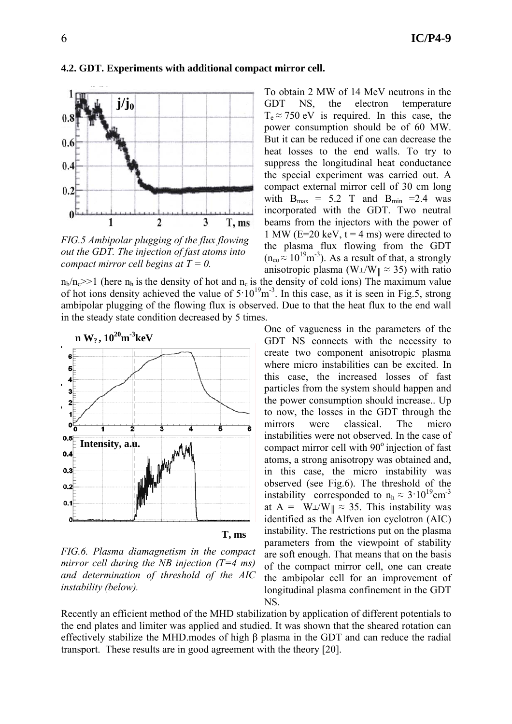### **4.2. GDT. Experiments with additional compact mirror cell.**



*FIG.5 Ambipolar plugging of the flux flowing out the GDT. The injection of fast atoms into compact mirror cell begins at T = 0.*

 $n_h/n_c$  (here  $n_h$  is the density of hot and  $n_c$  is the density of cold ions) The maximum value of hot ions density achieved the value of  $5 \cdot 10^{19}$  m<sup>-3</sup>. In this case, as it is seen in Fig.5, strong ambipolar plugging of the flowing flux is observed. Due to that the heat flux to the end wall in the steady state condition decreased by 5 times.



*FIG.6. Plasma diamagnetism in the compact mirror cell during the NB injection (T=4 ms) and determination of threshold of the AIC instability (below).* 

To obtain 2 MW of 14 MeV neutrons in the GDT NS, the electron temperature  $T_e \approx 750$  eV is required. In this case, the power consumption should be of 60 MW. But it can be reduced if one can decrease the heat losses to the end walls. To try to suppress the longitudinal heat conductance the special experiment was carried out. A compact external mirror cell of 30 cm long with  $B_{max} = 5.2$  T and  $B_{min} = 2.4$  was incorporated with the GDT. Two neutral beams from the injectors with the power of 1 MW ( $E=20 \text{ keV}$ ,  $t = 4 \text{ ms}$ ) were directed to the plasma flux flowing from the GDT  $(n_{\rm eo} \approx 10^{19} \text{m}^{-3})$ . As a result of that, a strongly anisotropic plasma (W $\angle$ W $\parallel \approx$  35) with ratio

One of vagueness in the parameters of the GDT NS connects with the necessity to create two component anisotropic plasma where micro instabilities can be excited. In this case, the increased losses of fast particles from the system should happen and the power consumption should increase.. Up to now, the losses in the GDT through the mirrors were classical. The micro instabilities were not observed. In the case of compact mirror cell with  $90^\circ$  injection of fast atoms, a strong anisotropy was obtained and, in this case, the micro instability was observed (see Fig.6). The threshold of the instability corresponded to  $n_h \approx 3.10^{19} \text{cm}^{-3}$ at A =  $W\perp/W\parallel \approx 35$ . This instability was identified as the Alfven ion cyclotron (AIC) instability. The restrictions put on the plasma parameters from the viewpoint of stability are soft enough. That means that on the basis of the compact mirror cell, one can create the ambipolar cell for an improvement of longitudinal plasma confinement in the GDT NS.

Recently an efficient method of the MHD stabilization by application of different potentials to the end plates and limiter was applied and studied. It was shown that the sheared rotation can effectively stabilize the MHD.modes of high β plasma in the GDT and can reduce the radial transport. These results are in good agreement with the theory [20].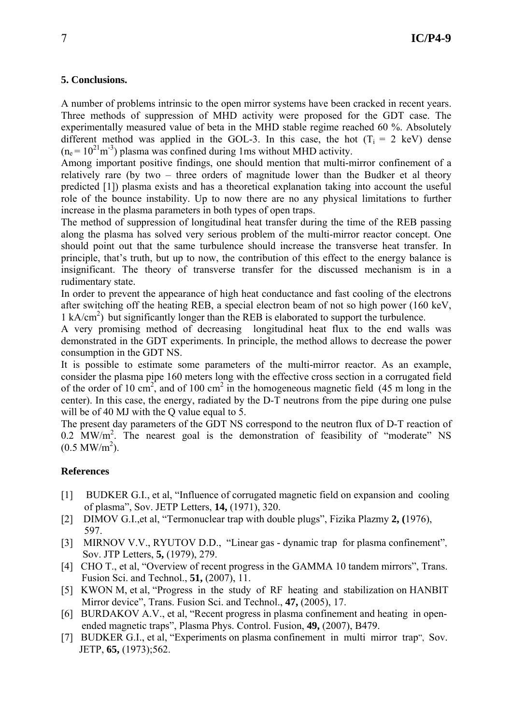# **5. Conclusions.**

A number of problems intrinsic to the open mirror systems have been cracked in recent years. Three methods of suppression of MHD activity were proposed for the GDT case. The experimentally measured value of beta in the MHD stable regime reached 60 %. Absolutely different method was applied in the GOL-3. In this case, the hot  $(T_i = 2 \text{ keV})$  dense  $(n_e = 10^{21} \text{m}^{-3})$  plasma was confined during 1ms without MHD activity.

Among important positive findings, one should mention that multi-mirror confinement of a relatively rare (by two – three orders of magnitude lower than the Budker et al theory predicted [1]) plasma exists and has a theoretical explanation taking into account the useful role of the bounce instability. Up to now there are no any physical limitations to further increase in the plasma parameters in both types of open traps.

The method of suppression of longitudinal heat transfer during the time of the REB passing along the plasma has solved very serious problem of the multi-mirror reactor concept. One should point out that the same turbulence should increase the transverse heat transfer. In principle, that's truth, but up to now, the contribution of this effect to the energy balance is insignificant. The theory of transverse transfer for the discussed mechanism is in a rudimentary state.

In order to prevent the appearance of high heat conductance and fast cooling of the electrons after switching off the heating REB, a special electron beam of not so high power (160 keV, 1 kA/cm<sup>2</sup>) but significantly longer than the REB is elaborated to support the turbulence.

A very promising method of decreasing longitudinal heat flux to the end walls was demonstrated in the GDT experiments. In principle, the method allows to decrease the power consumption in the GDT NS.

It is possible to estimate some parameters of the multi-mirror reactor. As an example, consider the plasma pipe 160 meters long with the effective cross section in a corrugated field of the order of 10 cm<sup>2</sup>, and of 100 cm<sup>2</sup> in the homogeneous magnetic field  $(45 \text{ m} \log \text{ in the})$ center). In this case, the energy, radiated by the D-T neutrons from the pipe during one pulse will be of 40 MJ with the O value equal to 5.

The present day parameters of the GDT NS correspond to the neutron flux of D-T reaction of 0.2 MW/m<sup>2</sup>. The nearest goal is the demonstration of feasibility of "moderate" NS  $(0.5 \text{ MW/m}^2)$ .

## **References**

- [1] BUDKER G.I., et al, "Influence of corrugated magnetic field on expansion and cooling of plasma", Sov. JETP Letters, **14,** (1971), 320.
- [2] DIMOV G.I.,et al, "Termonuclear trap with double plugs", Fizika Plazmy **2, (**1976), 597.
- [3] MIRNOV V.V., RYUTOV D.D., "Linear gas dynamic trap for plasma confinement", Sov. JTP Letters, **5,** (1979), 279.
- [4] CHO T., et al, "Overview of recent progress in the GAMMA 10 tandem mirrors", Trans. Fusion Sci. and Technol., **51,** (2007), 11.
- [5] KWON M, et al, "Progress in the study of RF heating and stabilization on HANBIT Mirror device", Trans. Fusion Sci. and Technol., **47,** (2005), 17.
- [6] BURDAKOV A.V., et al, "Recent progress in plasma confinement and heating in open ended magnetic traps", Plasma Phys. Control. Fusion, **49,** (2007), B479.
- [7] BUDKER G.I., et al, "Experiments on plasma confinement in multi mirror trap", Sov. JETP, **65,** (1973);562.